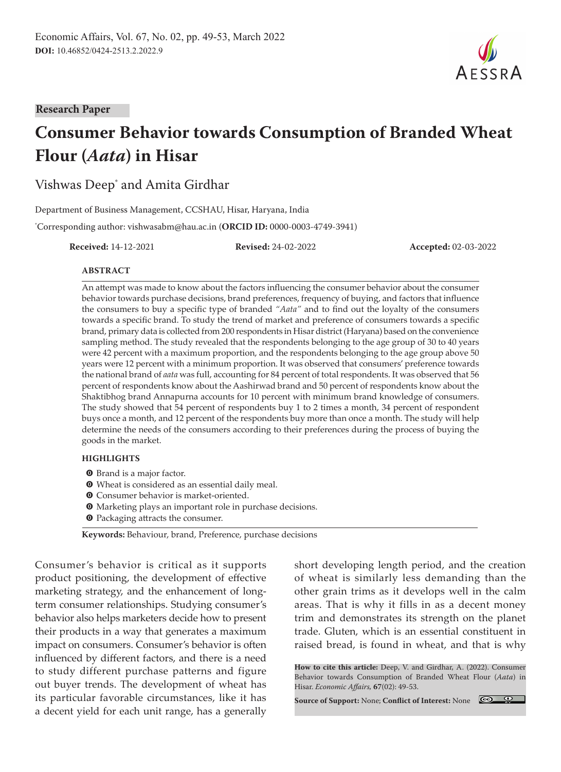

#### **Research Paper**

# **Consumer Behavior towards Consumption of Branded Wheat Flour (***Aata***) in Hisar**

# Vishwas Deep\* and Amita Girdhar

Department of Business Management, CCSHAU, Hisar, Haryana, India

\* Corresponding author: vishwasabm@hau.ac.in (**ORCID ID:** 0000-0003-4749-3941)

**Received:** 14-12-2021 **Revised:** 24-02-2022 **Accepted:** 02-03-2022

#### **ABSTRACT**

An attempt was made to know about the factors influencing the consumer behavior about the consumer behavior towards purchase decisions, brand preferences, frequency of buying, and factors that influence the consumers to buy a specific type of branded *"Aata"* and to find out the loyalty of the consumers towards a specific brand. To study the trend of market and preference of consumers towards a specific brand, primary data is collected from 200 respondents in Hisar district (Haryana) based on the convenience sampling method. The study revealed that the respondents belonging to the age group of 30 to 40 years were 42 percent with a maximum proportion, and the respondents belonging to the age group above 50 years were 12 percent with a minimum proportion. It was observed that consumers' preference towards the national brand of *aata* was full, accounting for 84 percent of total respondents. It was observed that 56 percent of respondents know about the Aashirwad brand and 50 percent of respondents know about the Shaktibhog brand Annapurna accounts for 10 percent with minimum brand knowledge of consumers. The study showed that 54 percent of respondents buy 1 to 2 times a month, 34 percent of respondent buys once a month, and 12 percent of the respondents buy more than once a month. The study will help determine the needs of the consumers according to their preferences during the process of buying the goods in the market.

#### **HIGHLIGHTS**

- **O** Brand is a major factor.
- $\bullet$  Wheat is considered as an essential daily meal.
- **O** Consumer behavior is market-oriented.
- $\bullet$  Marketing plays an important role in purchase decisions.
- **O** Packaging attracts the consumer.

**Keywords:** Behaviour, brand, Preference, purchase decisions

Consumer's behavior is critical as it supports product positioning, the development of effective marketing strategy, and the enhancement of longterm consumer relationships. Studying consumer's behavior also helps marketers decide how to present their products in a way that generates a maximum impact on consumers. Consumer's behavior is often influenced by different factors, and there is a need to study different purchase patterns and figure out buyer trends. The development of wheat has its particular favorable circumstances, like it has a decent yield for each unit range, has a generally

short developing length period, and the creation of wheat is similarly less demanding than the other grain trims as it develops well in the calm areas. That is why it fills in as a decent money trim and demonstrates its strength on the planet trade. Gluten, which is an essential constituent in raised bread, is found in wheat, and that is why

**How to cite this article:** Deep, V. and Girdhar, A. (2022). Consumer Behavior towards Consumption of Branded Wheat Flour (*Aata*) in Hisar. *Economic Affairs,* **67**(02): 49-53.

**Source of Support:** None; **Conflict of Interest:** None

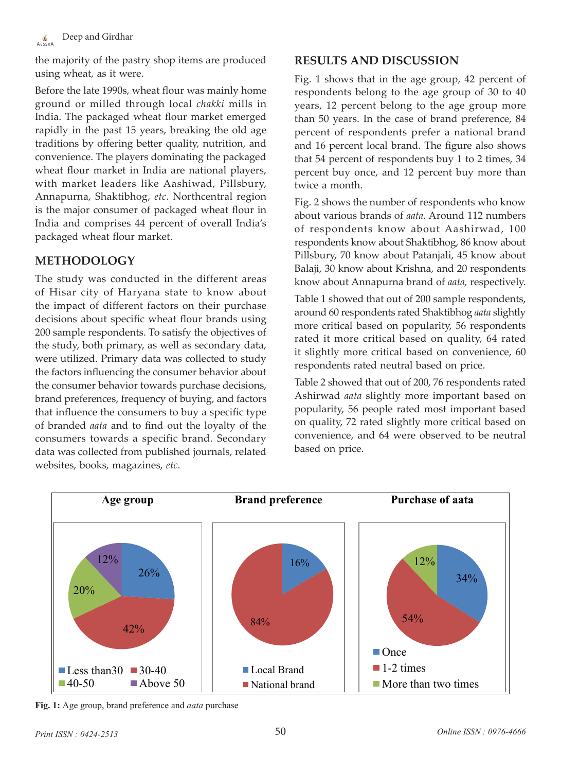#### Deep and Girdhar  $\frac{\sqrt{b}}{\Delta E C C D \Delta}$

the majority of the pastry shop items are produced using wheat, as it were.

Before the late 1990s, wheat flour was mainly home ground or milled through local *chakki* mills in India. The packaged wheat flour market emerged rapidly in the past 15 years, breaking the old age traditions by offering better quality, nutrition, and convenience. The players dominating the packaged wheat flour market in India are national players, with market leaders like Aashiwad, Pillsbury, Annapurna, Shaktibhog, *etc*. Northcentral region is the major consumer of packaged wheat flour in India and comprises 44 percent of overall India's packaged wheat flour market.

# **METHODOLOGY**

The study was conducted in the different areas of Hisar city of Haryana state to know about the impact of different factors on their purchase decisions about specific wheat flour brands using 200 sample respondents. To satisfy the objectives of the study, both primary, as well as secondary data, were utilized. Primary data was collected to study the factors influencing the consumer behavior about the consumer behavior towards purchase decisions, brand preferences, frequency of buying, and factors that influence the consumers to buy a specific type of branded *aata* and to find out the loyalty of the consumers towards a specific brand. Secondary data was collected from published journals, related websites, books, magazines, *etc*.

# **RESULTS AND DISCUSSION**

Fig. 1 shows that in the age group, 42 percent of respondents belong to the age group of 30 to 40 years, 12 percent belong to the age group more than 50 years. In the case of brand preference, 84 percent of respondents prefer a national brand and 16 percent local brand. The figure also shows that 54 percent of respondents buy 1 to 2 times, 34 percent buy once, and 12 percent buy more than twice a month.

Fig. 2 shows the number of respondents who know about various brands of *aata.* Around 112 numbers of respondents know about Aashirwad, 100 respondents know about Shaktibhog, 86 know about Pillsbury, 70 know about Patanjali, 45 know about Balaji, 30 know about Krishna, and 20 respondents know about Annapurna brand of *aata,* respectively.

Table 1 showed that out of 200 sample respondents, around 60 respondents rated Shaktibhog *aata* slightly more critical based on popularity, 56 respondents rated it more critical based on quality, 64 rated it slightly more critical based on convenience, 60 respondents rated neutral based on price.

Table 2 showed that out of 200, 76 respondents rated Ashirwad *aata* slightly more important based on popularity, 56 people rated most important based on quality, 72 rated slightly more critical based on convenience, and 64 were observed to be neutral based on price.



**Fig. 1:** Age group, brand preference and *aata* purchase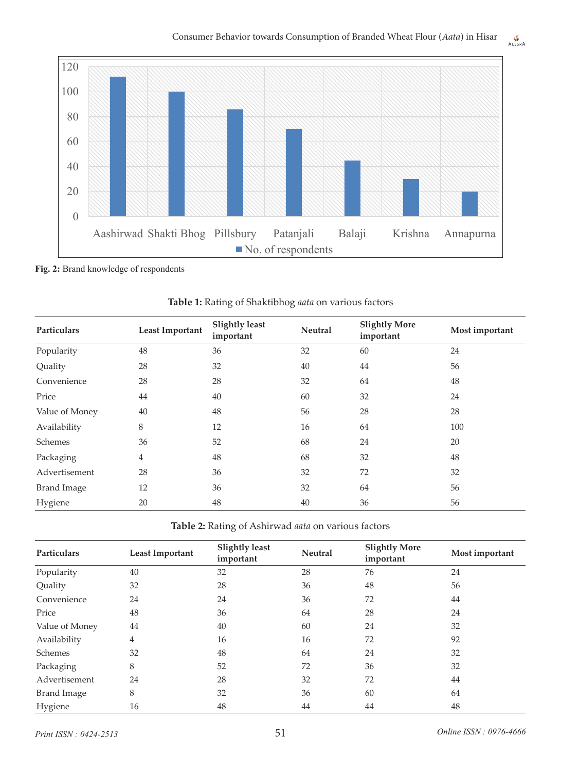

**Fig. 2:** Brand knowledge of respondents

| <b>Particulars</b> | <b>Least Important</b> | <b>Slightly least</b><br>important | <b>Neutral</b> | <b>Slightly More</b><br>important | Most important |
|--------------------|------------------------|------------------------------------|----------------|-----------------------------------|----------------|
| Popularity         | 48                     | 36                                 | 32             | 60                                | 24             |
| Quality            | 28                     | 32                                 | 40             | 44                                | 56             |
| Convenience        | 28                     | 28                                 | 32             | 64                                | 48             |
| Price              | 44                     | 40                                 | 60             | 32                                | 24             |
| Value of Money     | 40                     | 48                                 | 56             | 28                                | 28             |
| Availability       | 8                      | 12                                 | 16             | 64                                | 100            |
| Schemes            | 36                     | 52                                 | 68             | 24                                | 20             |
| Packaging          | $\overline{4}$         | 48                                 | 68             | 32                                | 48             |
| Advertisement      | 28                     | 36                                 | 32             | 72                                | 32             |
| <b>Brand Image</b> | 12                     | 36                                 | 32             | 64                                | 56             |
| Hygiene            | 20                     | 48                                 | 40             | 36                                | 56             |

**Table 1:** Rating of Shaktibhog *aata* on various factors

**Table 2:** Rating of Ashirwad *aata* on various factors

| Particulars        | <b>Least Important</b> | <b>Slightly least</b><br>important | <b>Neutral</b> | <b>Slightly More</b><br>important | Most important |
|--------------------|------------------------|------------------------------------|----------------|-----------------------------------|----------------|
| Popularity         | 40                     | 32                                 | 28             | 76                                | 24             |
| Quality            | 32                     | 28                                 | 36             | 48                                | 56             |
| Convenience        | 24                     | 24                                 | 36             | 72                                | 44             |
| Price              | 48                     | 36                                 | 64             | 28                                | 24             |
| Value of Money     | 44                     | 40                                 | 60             | 24                                | 32             |
| Availability       | 4                      | 16                                 | 16             | 72                                | 92             |
| Schemes            | 32                     | 48                                 | 64             | 24                                | 32             |
| Packaging          | 8                      | 52                                 | 72             | 36                                | 32             |
| Advertisement      | 24                     | 28                                 | 32             | 72                                | 44             |
| <b>Brand Image</b> | 8                      | 32                                 | 36             | 60                                | 64             |
| Hygiene            | 16                     | 48                                 | 44             | 44                                | 48             |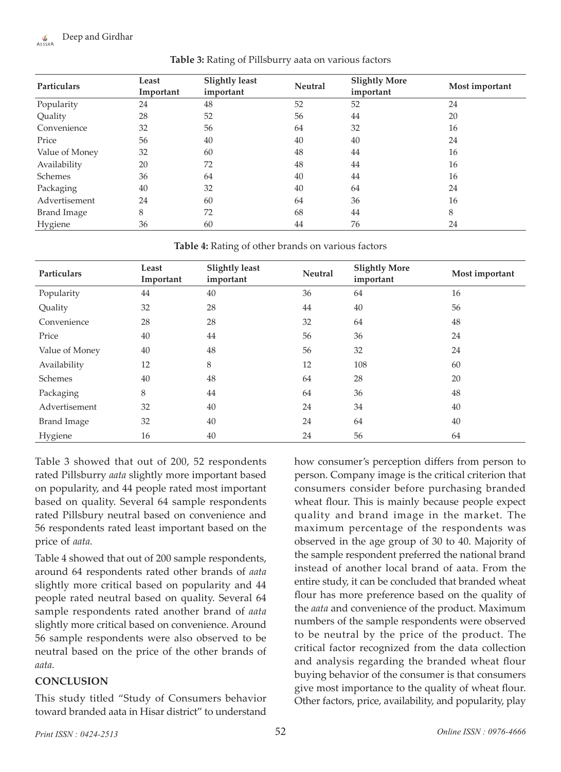#### Deep and Girdhar  $\mathcal{L}_{\text{R}}$

| Particulars    | Least<br>Important | <b>Slightly least</b><br>important | <b>Neutral</b> | <b>Slightly More</b><br>important | Most important |
|----------------|--------------------|------------------------------------|----------------|-----------------------------------|----------------|
| Popularity     | 24                 | 48                                 | 52             | 52                                | 24             |
| Quality        | 28                 | 52                                 | 56             | 44                                | 20             |
| Convenience    | 32                 | 56                                 | 64             | 32                                | 16             |
| Price          | 56                 | 40                                 | 40             | 40                                | 24             |
| Value of Money | 32                 | 60                                 | 48             | 44                                | 16             |
| Availability   | 20                 | 72                                 | 48             | 44                                | 16             |
| Schemes        | 36                 | 64                                 | 40             | 44                                | 16             |
| Packaging      | 40                 | 32                                 | 40             | 64                                | 24             |
| Advertisement  | 24                 | 60                                 | 64             | 36                                | 16             |
| Brand Image    | 8                  | 72                                 | 68             | 44                                | 8              |
| Hygiene        | 36                 | 60                                 | 44             | 76                                | 24             |

**Table 3:** Rating of Pillsburry aata on various factors

**Table 4:** Rating of other brands on various factors

| <b>Particulars</b> | Least<br>Important | <b>Slightly least</b><br>important | <b>Neutral</b> | <b>Slightly More</b><br>important | Most important |
|--------------------|--------------------|------------------------------------|----------------|-----------------------------------|----------------|
| Popularity         | 44                 | 40                                 | 36             | 64                                | 16             |
| Quality            | 32                 | 28                                 | 44             | 40                                | 56             |
| Convenience        | 28                 | 28                                 | 32             | 64                                | 48             |
| Price              | 40                 | 44                                 | 56             | 36                                | 24             |
| Value of Money     | 40                 | 48                                 | 56             | 32                                | 24             |
| Availability       | 12                 | 8                                  | 12             | 108                               | 60             |
| Schemes            | 40                 | 48                                 | 64             | 28                                | 20             |
| Packaging          | $\,8\,$            | 44                                 | 64             | 36                                | 48             |
| Advertisement      | 32                 | 40                                 | 24             | 34                                | 40             |
| <b>Brand Image</b> | 32                 | 40                                 | 24             | 64                                | 40             |
| Hygiene            | 16                 | 40                                 | 24             | 56                                | 64             |

Table 3 showed that out of 200, 52 respondents rated Pillsburry *aata* slightly more important based on popularity, and 44 people rated most important based on quality. Several 64 sample respondents rated Pillsbury neutral based on convenience and 56 respondents rated least important based on the price of *aata.*

Table 4 showed that out of 200 sample respondents, around 64 respondents rated other brands of *aata*  slightly more critical based on popularity and 44 people rated neutral based on quality. Several 64 sample respondents rated another brand of *aata* slightly more critical based on convenience. Around 56 sample respondents were also observed to be neutral based on the price of the other brands of *aata.*

### **CONCLUSION**

This study titled "Study of Consumers behavior toward branded aata in Hisar district" to understand

how consumer's perception differs from person to person. Company image is the critical criterion that consumers consider before purchasing branded wheat flour. This is mainly because people expect quality and brand image in the market. The maximum percentage of the respondents was observed in the age group of 30 to 40. Majority of the sample respondent preferred the national brand instead of another local brand of aata. From the entire study, it can be concluded that branded wheat flour has more preference based on the quality of the *aata* and convenience of the product. Maximum numbers of the sample respondents were observed to be neutral by the price of the product. The critical factor recognized from the data collection and analysis regarding the branded wheat flour buying behavior of the consumer is that consumers give most importance to the quality of wheat flour. Other factors, price, availability, and popularity, play